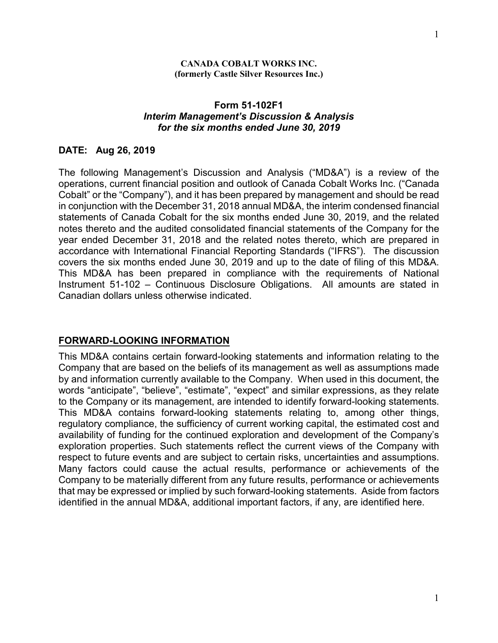### **Form 51-102F1**  *Interim Management's Discussion & Analysis for the six months ended June 30, 2019*

#### **DATE: Aug 26, 2019**

The following Management's Discussion and Analysis ("MD&A") is a review of the operations, current financial position and outlook of Canada Cobalt Works Inc. ("Canada Cobalt" or the "Company"), and it has been prepared by management and should be read in conjunction with the December 31, 2018 annual MD&A, the interim condensed financial statements of Canada Cobalt for the six months ended June 30, 2019, and the related notes thereto and the audited consolidated financial statements of the Company for the year ended December 31, 2018 and the related notes thereto, which are prepared in accordance with International Financial Reporting Standards ("IFRS"). The discussion covers the six months ended June 30, 2019 and up to the date of filing of this MD&A. This MD&A has been prepared in compliance with the requirements of National Instrument 51-102 – Continuous Disclosure Obligations. All amounts are stated in Canadian dollars unless otherwise indicated.

### **FORWARD-LOOKING INFORMATION**

This MD&A contains certain forward-looking statements and information relating to the Company that are based on the beliefs of its management as well as assumptions made by and information currently available to the Company. When used in this document, the words "anticipate", "believe", "estimate", "expect" and similar expressions, as they relate to the Company or its management, are intended to identify forward-looking statements. This MD&A contains forward-looking statements relating to, among other things, regulatory compliance, the sufficiency of current working capital, the estimated cost and availability of funding for the continued exploration and development of the Company's exploration properties. Such statements reflect the current views of the Company with respect to future events and are subject to certain risks, uncertainties and assumptions. Many factors could cause the actual results, performance or achievements of the Company to be materially different from any future results, performance or achievements that may be expressed or implied by such forward-looking statements. Aside from factors identified in the annual MD&A, additional important factors, if any, are identified here.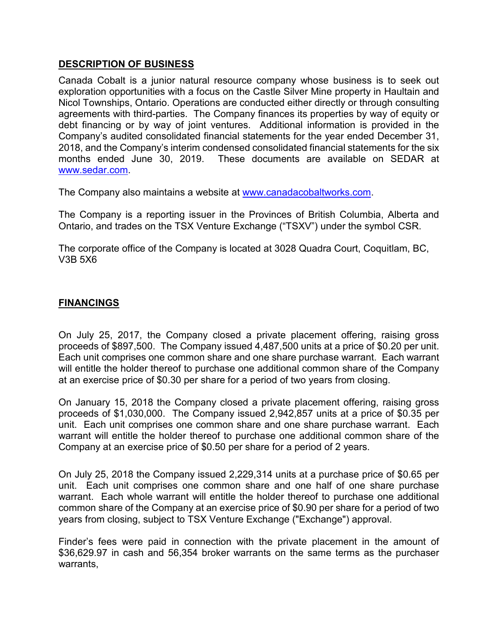## **DESCRIPTION OF BUSINESS**

Canada Cobalt is a junior natural resource company whose business is to seek out exploration opportunities with a focus on the Castle Silver Mine property in Haultain and Nicol Townships, Ontario. Operations are conducted either directly or through consulting agreements with third-parties. The Company finances its properties by way of equity or debt financing or by way of joint ventures. Additional information is provided in the Company's audited consolidated financial statements for the year ended December 31, 2018, and the Company's interim condensed consolidated financial statements for the six months ended June 30, 2019. These documents are available on SEDAR at [www.sedar.com.](http://www.sedar.com/)

The Company also maintains a website at [www.canadacobaltworks.com.](http://www.canadacobaltworks.com/)

The Company is a reporting issuer in the Provinces of British Columbia, Alberta and Ontario, and trades on the TSX Venture Exchange ("TSXV") under the symbol CSR.

The corporate office of the Company is located at 3028 Quadra Court, Coquitlam, BC, V3B 5X6

## **FINANCINGS**

On July 25, 2017, the Company closed a private placement offering, raising gross proceeds of \$897,500. The Company issued 4,487,500 units at a price of \$0.20 per unit. Each unit comprises one common share and one share purchase warrant. Each warrant will entitle the holder thereof to purchase one additional common share of the Company at an exercise price of \$0.30 per share for a period of two years from closing.

On January 15, 2018 the Company closed a private placement offering, raising gross proceeds of \$1,030,000. The Company issued 2,942,857 units at a price of \$0.35 per unit. Each unit comprises one common share and one share purchase warrant. Each warrant will entitle the holder thereof to purchase one additional common share of the Company at an exercise price of \$0.50 per share for a period of 2 years.

On July 25, 2018 the Company issued 2,229,314 units at a purchase price of \$0.65 per unit. Each unit comprises one common share and one half of one share purchase warrant. Each whole warrant will entitle the holder thereof to purchase one additional common share of the Company at an exercise price of \$0.90 per share for a period of two years from closing, subject to TSX Venture Exchange ("Exchange") approval.

Finder's fees were paid in connection with the private placement in the amount of \$36,629.97 in cash and 56,354 broker warrants on the same terms as the purchaser warrants,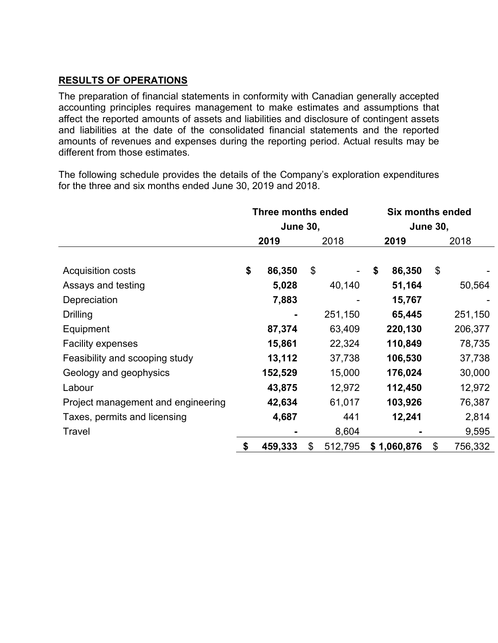## **RESULTS OF OPERATIONS**

The preparation of financial statements in conformity with Canadian generally accepted accounting principles requires management to make estimates and assumptions that affect the reported amounts of assets and liabilities and disclosure of contingent assets and liabilities at the date of the consolidated financial statements and the reported amounts of revenues and expenses during the reporting period. Actual results may be different from those estimates.

The following schedule provides the details of the Company's exploration expenditures for the three and six months ended June 30, 2019 and 2018.

|                                    | <b>Three months ended</b> |         |    |                 | <b>Six months ended</b> |             |    |         |
|------------------------------------|---------------------------|---------|----|-----------------|-------------------------|-------------|----|---------|
|                                    | <b>June 30,</b>           |         |    | <b>June 30,</b> |                         |             |    |         |
|                                    |                           | 2019    |    | 2018            |                         | 2019        |    | 2018    |
| <b>Acquisition costs</b>           | \$                        | 86,350  | \$ |                 | \$                      | 86,350      | \$ |         |
| Assays and testing                 |                           | 5,028   |    | 40,140          |                         | 51,164      |    | 50,564  |
| Depreciation                       |                           | 7,883   |    |                 |                         | 15,767      |    |         |
| Drilling                           |                           |         |    | 251,150         |                         | 65,445      |    | 251,150 |
| Equipment                          |                           | 87,374  |    | 63,409          |                         | 220,130     |    | 206,377 |
| Facility expenses                  |                           | 15,861  |    | 22,324          |                         | 110,849     |    | 78,735  |
| Feasibility and scooping study     |                           | 13,112  |    | 37,738          |                         | 106,530     |    | 37,738  |
| Geology and geophysics             |                           | 152,529 |    | 15,000          |                         | 176,024     |    | 30,000  |
| Labour                             |                           | 43,875  |    | 12,972          |                         | 112,450     |    | 12,972  |
| Project management and engineering |                           | 42,634  |    | 61,017          |                         | 103,926     |    | 76,387  |
| Taxes, permits and licensing       |                           | 4,687   |    | 441             |                         | 12,241      |    | 2,814   |
| Travel                             |                           |         |    | 8,604           |                         |             |    | 9,595   |
|                                    | \$                        | 459,333 | \$ | 512,795         |                         | \$1,060,876 | \$ | 756,332 |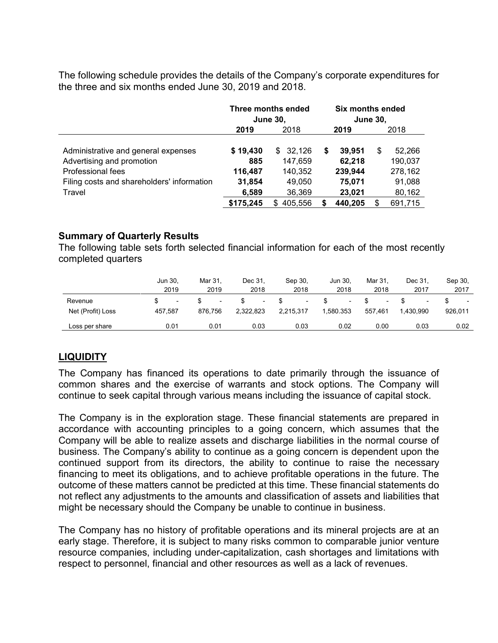The following schedule provides the details of the Company's corporate expenditures for the three and six months ended June 30, 2019 and 2018.

|                                                                                                                                     | Three months ended<br><b>June 30,</b> |                                               |   | Six months ended<br><b>June 30,</b>   |    |                                        |  |
|-------------------------------------------------------------------------------------------------------------------------------------|---------------------------------------|-----------------------------------------------|---|---------------------------------------|----|----------------------------------------|--|
|                                                                                                                                     | 2019                                  | 2018                                          |   | 2019                                  |    | 2018                                   |  |
| Administrative and general expenses<br>Advertising and promotion<br>Professional fees<br>Filing costs and shareholders' information | \$19,430<br>885<br>116,487<br>31,854  | 32,126<br>SS.<br>147,659<br>140,352<br>49.050 | S | 39,951<br>62,218<br>239,944<br>75,071 | \$ | 52,266<br>190,037<br>278,162<br>91,088 |  |
| Travel                                                                                                                              | 6,589                                 | 36,369                                        |   | 23,021                                |    | 80,162                                 |  |
|                                                                                                                                     | \$175,245                             | 405,556<br>S                                  | S | 440,205                               |    | 691,715                                |  |

## **Summary of Quarterly Results**

The following table sets forth selected financial information for each of the most recently completed quarters

|                              | Jun 30.<br>2019 | Mar 31.<br>2019 | Dec 31,<br>2018                       | Sep 30.<br>2018 | Jun 30.<br>2018 | Mar 31.<br>2018 | Dec 31.<br>2017 | Sep 30,<br>2017 |
|------------------------------|-----------------|-----------------|---------------------------------------|-----------------|-----------------|-----------------|-----------------|-----------------|
| Revenue<br>Net (Profit) Loss | 457.587         | ۰<br>876.756    | $\overline{\phantom{a}}$<br>2.322.823 | 2.215.317       | ۰<br>1.580.353  | 557.461         | ۰<br>1.430.990  | 926.011         |
| Loss per share               | 0.01            | 0.01            | 0.03                                  | 0.03            | 0.02            | 0.00            | 0.03            | 0.02            |

## **LIQUIDITY**

The Company has financed its operations to date primarily through the issuance of common shares and the exercise of warrants and stock options. The Company will continue to seek capital through various means including the issuance of capital stock.

The Company is in the exploration stage. These financial statements are prepared in accordance with accounting principles to a going concern, which assumes that the Company will be able to realize assets and discharge liabilities in the normal course of business. The Company's ability to continue as a going concern is dependent upon the continued support from its directors, the ability to continue to raise the necessary financing to meet its obligations, and to achieve profitable operations in the future. The outcome of these matters cannot be predicted at this time. These financial statements do not reflect any adjustments to the amounts and classification of assets and liabilities that might be necessary should the Company be unable to continue in business.

The Company has no history of profitable operations and its mineral projects are at an early stage. Therefore, it is subject to many risks common to comparable junior venture resource companies, including under-capitalization, cash shortages and limitations with respect to personnel, financial and other resources as well as a lack of revenues.